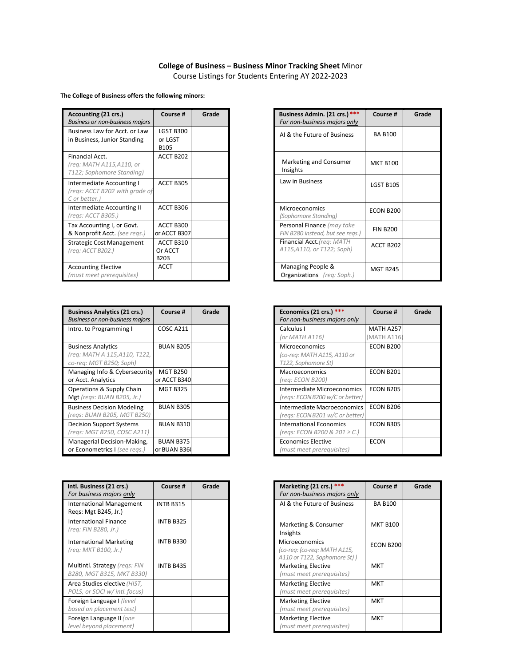## **College of Business – Business Minor Tracking Sheet** Minor

Course Listings for Students Entering AY 2022-2023

**The College of Business offers the following minors:**

| Accounting (21 crs.)<br><b>Business or non-business majors</b>               | Course #                                 | Grade |
|------------------------------------------------------------------------------|------------------------------------------|-------|
| Business Law for Acct, or Law<br>in Business, Junior Standing                | <b>LGST B300</b><br>or LGST<br>B105      |       |
| Financial Acct.<br>(reg: MATH A115,A110, or<br>T122; Sophomore Standing)     | ACCT B202                                |       |
| Intermediate Accounting I<br>(regs: ACCT B202 with grade of<br>C or better.) | ACCT B305                                |       |
| Intermediate Accounting II<br>(regs: ACCT B305.)                             | ACCT B306                                |       |
| Tax Accounting I, or Govt.<br>& Nonprofit Acct. (see regs.)                  | ACCT B300<br>or ACCT B307                |       |
| <b>Strategic Cost Management</b><br>(reg: ACCT B202.)                        | ACCT B310<br>Or ACCT<br>B <sub>203</sub> |       |
| <b>Accounting Elective</b><br>(must meet prerequisites)                      | <b>ACCT</b>                              |       |

| <b>Business Analytics (21 crs.)</b><br><b>Business or non-business majors</b>        | Course #                         | Grade | Economics (21 c<br>For non-business                   |
|--------------------------------------------------------------------------------------|----------------------------------|-------|-------------------------------------------------------|
| Intro. to Programming I                                                              | COSC A211                        |       | Calculus I<br>(or MATH A116)                          |
| <b>Business Analytics</b><br>(req: MATH A_115,A110, T122,<br>co-reg: MGT B250; Soph) | <b>BUAN B205</b>                 |       | Microeconomics<br>(co-req: MATH A1<br>T122, Sophomore |
| Managing Info & Cybersecurity<br>or Acct. Analytics                                  | <b>MGT B250</b><br>or ACCT B340  |       | Macroeconomic:<br>(reg: ECON B200                     |
| Operations & Supply Chain<br>Mgt (regs: BUAN B205, Jr.)                              | <b>MGT B325</b>                  |       | Intermediate Mi<br>(regs: ECON B20C                   |
| <b>Business Decision Modeling</b><br>(regs: BUAN B205, MGT B250)                     | <b>BUAN B305</b>                 |       | Intermediate Ma<br>(regs: ECON B201                   |
| <b>Decision Support Systems</b><br>(regs: MGT B250, COSC A211)                       | <b>BUAN B310</b>                 |       | <b>International Eco</b><br>(regs: ECON B20           |
| Managerial Decision-Making,<br>or Econometrics I (see regs.)                         | <b>BUAN B375</b><br>or BUAN B360 |       | <b>Economics Electi</b><br>(must meet preri           |

| Intl. Business (21 crs.)<br>For business majors only          | Course #         | Grade |
|---------------------------------------------------------------|------------------|-------|
| <b>International Management</b><br>Regs: Mgt B245, Jr.)       | <b>INTB B315</b> |       |
| <b>International Finance</b><br>(reg: FIN B280, Jr.)          | <b>INTB B325</b> |       |
| <b>International Marketing</b><br>(reg: MKT B100, Jr.)        | <b>INTB B330</b> |       |
| Multintl. Strategy (regs: FIN<br>B280, MGT B315, MKT B330)    | INTB B435        |       |
| Area Studies elective (HIST,<br>POLS, or SOCI w/ intl. focus) |                  |       |
| Foreign Language I (level<br>based on placement test)         |                  |       |
| Foreign Language II (one<br>level beyond placement)           |                  |       |

| Course #                   | Grade | Business Admin. (21 crs.) ***<br>For non-business majors only  | Course #         | Grade |
|----------------------------|-------|----------------------------------------------------------------|------------------|-------|
| GST B300<br>or LGST<br>105 |       | AI & the Future of Business                                    | <b>BA B100</b>   |       |
| CCT B202                   |       | Marketing and Consumer<br>Insights                             | <b>MKT B100</b>  |       |
| CCT B305                   |       | Law in Business                                                | <b>LGST B105</b> |       |
| CCT B306                   |       | <b>Microeconomics</b><br>(Sophomore Standing)                  | ECON B200        |       |
| CCT B300<br>ACCT B307      |       | Personal Finance (may take<br>FIN B280 instead, but see regs.) | <b>FIN B200</b>  |       |
| CCT B310<br>r ACCT<br>203  |       | Financial Acct. (reg: MATH<br>A115, A110, or T122; Soph)       | ACCT B202        |       |
| <b>CCT</b>                 |       | Managing People &<br><b>Organizations</b> (reg: Soph.)         | <b>MGT B245</b>  |       |

| Course #                        | Grade | Economics (21 crs.) ***<br>For non-business majors only                     | Course #                 | Grade |
|---------------------------------|-------|-----------------------------------------------------------------------------|--------------------------|-------|
| COSC A211                       |       | Calculus I<br>(or MATH A116)                                                | MATH A257<br>(MATH A116) |       |
| <b>BUAN B205</b>                |       | <b>Microeconomics</b><br>(co-reg: MATH A115, A110 or<br>T122, Sophomore St) | ECON B200                |       |
| <b>MGT B250</b><br>r ACCT B340  |       | <b>Macroeconomics</b><br>(reg: ECON B200)                                   | ECON B201                |       |
| <b>MGT B325</b>                 |       | Intermediate Microeconomics<br>(regs: ECON B200 w/C or better)              | ECON B205                |       |
| <b>BUAN B305</b>                |       | Intermediate Macroeconomics<br>(regs: ECON B201 w/C or better)              | ECON B206                |       |
| <b>BUAN B310</b>                |       | <b>International Economics</b><br>(regs: ECON B200 & 201 ≥ C.)              | <b>ECON B305</b>         |       |
| <b>BUAN B375</b><br>r BUAN B360 |       | <b>Economics Elective</b><br>(must meet prerequisites)                      | <b>ECON</b>              |       |

| Course #         | Grade | Marketing (21 crs.) ***<br>For non-business majors only                        | Course #        | Grade |
|------------------|-------|--------------------------------------------------------------------------------|-----------------|-------|
| <b>INTB B315</b> |       | AI & the Future of Business                                                    | <b>BA B100</b>  |       |
| <b>INTB B325</b> |       | Marketing & Consumer<br>Insights                                               | <b>MKT B100</b> |       |
| <b>INTB B330</b> |       | Microeconomics<br>(co-reg: (co-reg: MATH A115,<br>A110 or T122, Sophomore St)) | ECON B200       |       |
| INTB B435        |       | <b>Marketing Elective</b><br>(must meet prerequisites)                         | <b>MKT</b>      |       |
|                  |       | <b>Marketing Elective</b><br>(must meet prerequisites)                         | <b>MKT</b>      |       |
|                  |       | <b>Marketing Elective</b><br>(must meet prerequisites)                         | <b>MKT</b>      |       |
|                  |       | <b>Marketing Elective</b><br>(must meet prerequisites)                         | <b>MKT</b>      |       |